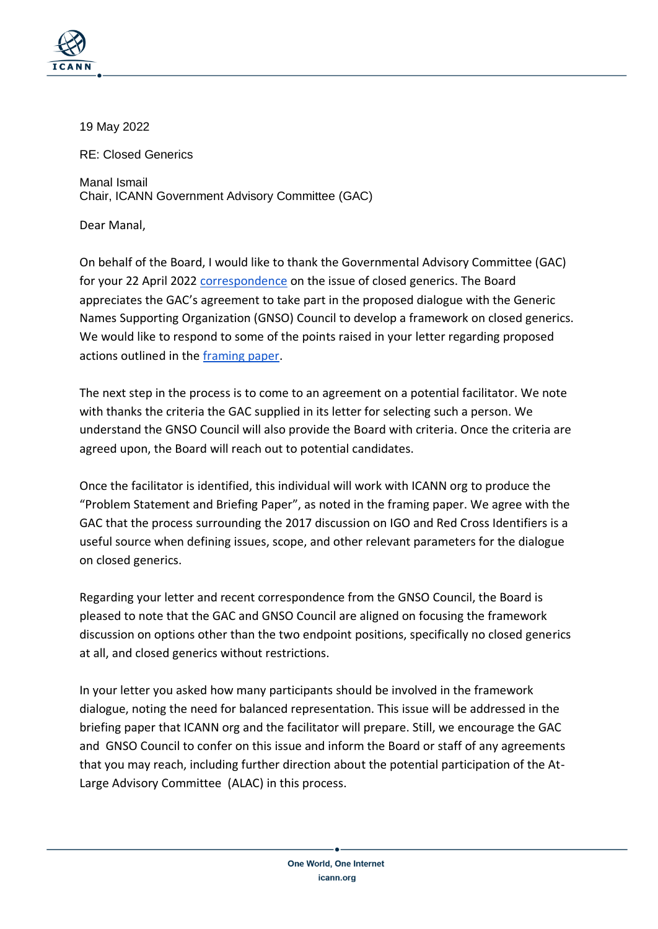

19 May 2022

RE: Closed Generics

Manal Ismail Chair, ICANN Government Advisory Committee (GAC)

Dear Manal,

On behalf of the Board, I would like to thank the Governmental Advisory Committee (GAC) for your 22 April 2022 [correspondence](https://www.icann.org/en/system/files/correspondence/ismail-to-botterman-22apr22-en.pdf) on the issue of closed generics. The Board appreciates the GAC's agreement to take part in the proposed dialogue with the Generic Names Supporting Organization (GNSO) Council to develop a framework on closed generics. We would like to respond to some of the points raised in your letter regarding proposed actions outlined in the [framing paper.](https://gac.icann.org/advice/correspondence/incoming/20220310/board-facilitated-process-framing-paper-for-gac-gnso-dialogue-on-closed-generics)

The next step in the process is to come to an agreement on a potential facilitator. We note with thanks the criteria the GAC supplied in its letter for selecting such a person. We understand the GNSO Council will also provide the Board with criteria. Once the criteria are agreed upon, the Board will reach out to potential candidates.

Once the facilitator is identified, this individual will work with ICANN org to produce the "Problem Statement and Briefing Paper", as noted in the framing paper. We agree with the GAC that the process surrounding the 2017 discussion on IGO and Red Cross Identifiers is a useful source when defining issues, scope, and other relevant parameters for the dialogue on closed generics.

Regarding your letter and recent correspondence from the GNSO Council, the Board is pleased to note that the GAC and GNSO Council are aligned on focusing the framework discussion on options other than the two endpoint positions, specifically no closed generics at all, and closed generics without restrictions.

In your letter you asked how many participants should be involved in the framework dialogue, noting the need for balanced representation. This issue will be addressed in the briefing paper that ICANN org and the facilitator will prepare. Still, we encourage the GAC and GNSO Council to confer on this issue and inform the Board or staff of any agreements that you may reach, including further direction about the potential participation of the At-Large Advisory Committee (ALAC) in this process.